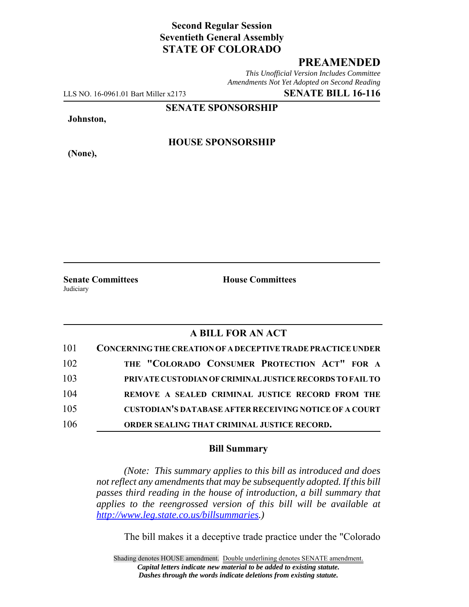## **Second Regular Session Seventieth General Assembly STATE OF COLORADO**

## **PREAMENDED**

*This Unofficial Version Includes Committee Amendments Not Yet Adopted on Second Reading*

LLS NO. 16-0961.01 Bart Miller x2173 **SENATE BILL 16-116**

**SENATE SPONSORSHIP**

**Johnston,**

**HOUSE SPONSORSHIP**

**(None),**

**Senate Committees House Committees** Judiciary

## **A BILL FOR AN ACT**

| 101 | <b>CONCERNING THE CREATION OF A DECEPTIVE TRADE PRACTICE UNDER</b> |
|-----|--------------------------------------------------------------------|
| 102 | THE "COLORADO CONSUMER PROTECTION ACT" FOR A                       |
| 103 | PRIVATE CUSTODIAN OF CRIMINAL JUSTICE RECORDS TO FAIL TO           |
| 104 | REMOVE A SEALED CRIMINAL JUSTICE RECORD FROM THE                   |
| 105 | <b>CUSTODIAN'S DATABASE AFTER RECEIVING NOTICE OF A COURT</b>      |
| 106 | ORDER SEALING THAT CRIMINAL JUSTICE RECORD.                        |

## **Bill Summary**

*(Note: This summary applies to this bill as introduced and does not reflect any amendments that may be subsequently adopted. If this bill passes third reading in the house of introduction, a bill summary that applies to the reengrossed version of this bill will be available at http://www.leg.state.co.us/billsummaries.)*

The bill makes it a deceptive trade practice under the "Colorado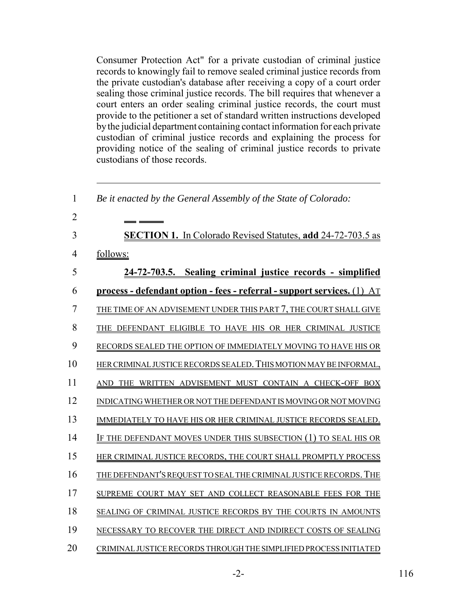Consumer Protection Act" for a private custodian of criminal justice records to knowingly fail to remove sealed criminal justice records from the private custodian's database after receiving a copy of a court order sealing those criminal justice records. The bill requires that whenever a court enters an order sealing criminal justice records, the court must provide to the petitioner a set of standard written instructions developed by the judicial department containing contact information for each private custodian of criminal justice records and explaining the process for providing notice of the sealing of criminal justice records to private custodians of those records.

| 1              | Be it enacted by the General Assembly of the State of Colorado:                |
|----------------|--------------------------------------------------------------------------------|
| $\overline{2}$ |                                                                                |
| 3              | <b>SECTION 1.</b> In Colorado Revised Statutes, add 24-72-703.5 as             |
| 4              | follows:                                                                       |
| 5              | 24-72-703.5. Sealing criminal justice records - simplified                     |
| 6              | <u>process - defendant option - fees - referral - support services. (1) AT</u> |
| 7              | THE TIME OF AN ADVISEMENT UNDER THIS PART 7, THE COURT SHALL GIVE              |
| 8              | THE DEFENDANT ELIGIBLE TO HAVE HIS OR HER CRIMINAL JUSTICE                     |
| 9              | RECORDS SEALED THE OPTION OF IMMEDIATELY MOVING TO HAVE HIS OR                 |
| 10             | HER CRIMINAL JUSTICE RECORDS SEALED. THIS MOTION MAY BE INFORMAL,              |
| 11             | AND THE WRITTEN ADVISEMENT MUST CONTAIN A CHECK-OFF BOX                        |
| 12             | INDICATING WHETHER OR NOT THE DEFENDANT IS MOVING OR NOT MOVING                |
| 13             | IMMEDIATELY TO HAVE HIS OR HER CRIMINAL JUSTICE RECORDS SEALED.                |
| 14             | IF THE DEFENDANT MOVES UNDER THIS SUBSECTION (1) TO SEAL HIS OR                |
| 15             | HER CRIMINAL JUSTICE RECORDS, THE COURT SHALL PROMPTLY PROCESS                 |
| 16             | THE DEFENDANT'S REQUEST TO SEAL THE CRIMINAL JUSTICE RECORDS. THE              |
| 17             | SUPREME COURT MAY SET AND COLLECT REASONABLE FEES FOR THE                      |
| 18             | SEALING OF CRIMINAL JUSTICE RECORDS BY THE COURTS IN AMOUNTS                   |
| 19             | NECESSARY TO RECOVER THE DIRECT AND INDIRECT COSTS OF SEALING                  |
| 20             | CRIMINAL JUSTICE RECORDS THROUGH THE SIMPLIFIED PROCESS INITIATED              |